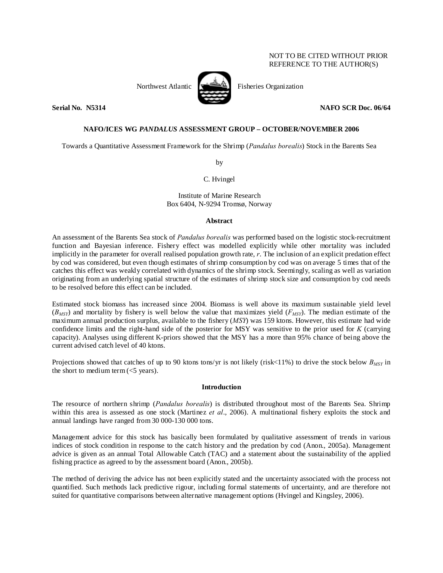# NOT TO BE CITED WITHOUT PRIOR REFERENCE TO THE AUTHOR(S)



Northwest Atlantic Fisheries Organization

# **Serial No. 325314** No. 35314 **NAFO SCR Doc. 06/64**

# **NAFO/ICES WG** *PANDALUS* **ASSESSMENT GROUP – OCTOBER/NOVEMBER 2006**

Towards a Quantitative Assessment Framework for the Shrimp (*Pandalus borealis*) Stock in the Barents Sea

by

C. Hvingel

Institute of Marine Research Box 6404, N-9294 Tromsø, Norway

## **Abstract**

An assessment of the Barents Sea stock of *Pandalus borealis* was performed based on the logistic stock-recruitment function and Bayesian inference. Fishery effect was modelled explicitly while other mortality was included implicitly in the parameter for overall realised population growth rate, *r*. The inclusion of an explicit predation effect by cod was considered, but even though estimates of shrimp consumption by cod was on average 5 times that of the catches this effect was weakly correlated with dynamics of the shrimp stock. Seemingly, scaling as well as variation originating from an underlying spatial structure of the estimates of shrimp stock size and consumption by cod needs to be resolved before this effect can be included.

Estimated stock biomass has increased since 2004. Biomass is well above its maximum sustainable yield level  $(B_{MST})$  and mortality by fishery is well below the value that maximizes yield  $(F_{MST})$ . The median estimate of the maximum annual production surplus, available to the fishery (*MSY*) was 159 ktons. However, this estimate had wide confidence limits and the right-hand side of the posterior for MSY was sensitive to the prior used for *K* (carrying capacity). Analyses using different K-priors showed that the MSY has a more than 95% chance of being above the current advised catch level of 40 ktons.

Projections showed that catches of up to 90 ktons tons/yr is not likely (risk<11%) to drive the stock below  $B_{MSY}$  in the short to medium term  $(<5$  years).

## **Introduction**

The resource of northern shrimp (*Pandalus borealis*) is distributed throughout most of the Barents Sea. Shrimp within this area is assessed as one stock (Martinez *et al*., 2006). A multinational fishery exploits the stock and annual landings have ranged from 30 000-130 000 tons.

Management advice for this stock has basically been formulated by qualitative assessment of trends in various indices of stock condition in response to the catch history and the predation by cod (Anon., 2005a). Management advice is given as an annual Total Allowable Catch (TAC) and a statement about the sustainability of the applied fishing practice as agreed to by the assessment board (Anon., 2005b).

The method of deriving the advice has not been explicitly stated and the uncertainty associated with the process not quantified. Such methods lack predictive rigour, including formal statements of uncertainty, and are therefore not suited for quantitative comparisons between alternative management options (Hvingel and Kingsley, 2006).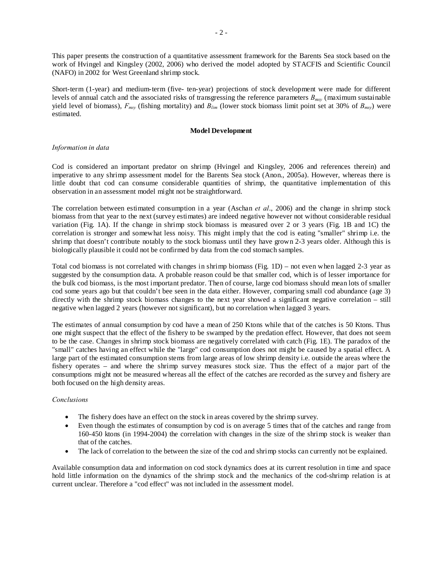This paper presents the construction of a quantitative assessment framework for the Barents Sea stock based on the work of Hvingel and Kingsley (2002, 2006) who derived the model adopted by STACFIS and Scientific Council (NAFO) in 2002 for West Greenland shrimp stock.

Short-term (1-year) and medium-term (five- ten-year) projections of stock development were made for different levels of annual catch and the associated risks of transgressing the reference parameters *Bmsy* (maximum sustainable yield level of biomass),  $F_{msv}$  (fishing mortality) and  $B_{lim}$  (lower stock biomass limit point set at 30% of  $B_{msv}$ ) were estimated.

## **Model Development**

## *Information in data*

Cod is considered an important predator on shrimp (Hvingel and Kingsley, 2006 and references therein) and imperative to any shrimp assessment model for the Barents Sea stock (Anon., 2005a). However, whereas there is little doubt that cod can consume considerable quantities of shrimp, the quantitative implementation of this observation in an assessment model might not be straightforward.

The correlation between estimated consumption in a year (Aschan *et al*., 2006) and the change in shrimp stock biomass from that year to the next (survey estimates) are indeed negative however not without considerable residual variation (Fig. 1A). If the change in shrimp stock biomass is measured over 2 or 3 years (Fig. 1B and 1C) the correlation is stronger and somewhat less noisy. This might imply that the cod is eating "smaller" shrimp i.e. the shrimp that doesn't contribute notably to the stock biomass until they have grown 2-3 years older. Although this is biologically plausible it could not be confirmed by data from the cod stomach samples.

Total cod biomass is not correlated with changes in shrimp biomass (Fig. 1D) – not even when lagged 2-3 year as suggested by the consumption data. A probable reason could be that smaller cod, which is of lesser importance for the bulk cod biomass, is the most important predator. Then of course, large cod biomass should mean lots of smaller cod some years ago but that couldn't bee seen in the data either. However, comparing small cod abundance (age 3) directly with the shrimp stock biomass changes to the next year showed a significant negative correlation – still negative when lagged 2 years (however not significant), but no correlation when lagged 3 years.

The estimates of annual consumption by cod have a mean of 250 Ktons while that of the catches is 50 Ktons. Thus one might suspect that the effect of the fishery to be swamped by the predation effect. However, that does not seem to be the case. Changes in shrimp stock biomass are negatively correlated with catch (Fig. 1E). The paradox of the "small" catches having an effect while the "large" cod consumption does not might be caused by a spatial effect. A large part of the estimated consumption stems from large areas of low shrimp density i.e. outside the areas where the fishery operates – and where the shrimp survey measures stock size. Thus the effect of a major part of the consumptions might not be measured whereas all the effect of the catches are recorded as the survey and fishery are both focused on the high density areas.

## *Conclusions*

- The fishery does have an effect on the stock in areas covered by the shrimp survey.
- Even though the estimates of consumption by cod is on average 5 times that of the catches and range from 160-450 ktons (in 1994-2004) the correlation with changes in the size of the shrimp stock is weaker than that of the catches.
- The lack of correlation to the between the size of the cod and shrimp stocks can currently not be explained.

Available consumption data and information on cod stock dynamics does at its current resolution in time and space hold little information on the dynamics of the shrimp stock and the mechanics of the cod-shrimp relation is at current unclear. Therefore a "cod effect" was not included in the assessment model.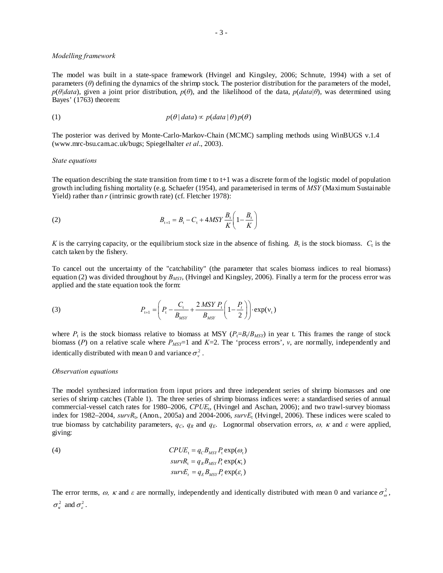## *Modelling framework*

The model was built in a state-space framework (Hvingel and Kingsley, 2006; Schnute, 1994) with a set of parameters (*θ*) defining the dynamics of the shrimp stock. The posterior distribution for the parameters of the model,  $p(\theta|data)$ , given a joint prior distribution,  $p(\theta)$ , and the likelihood of the data,  $p(data|\theta)$ , was determined using Bayes' (1763) theorem:

(1) 
$$
p(\theta | data) \propto p(data | \theta) p(\theta)
$$

The posterior was derived by Monte-Carlo-Markov-Chain (MCMC) sampling methods using WinBUGS v.1.4 (www.mrc-bsu.cam.ac.uk/bugs; Spiegelhalter *et al*., 2003).

#### *State equations*

The equation describing the state transition from time t to  $t+1$  was a discrete form of the logistic model of population growth including fishing mortality (e.g. Schaefer (1954), and parameterised in terms of *MSY* (Maximum Sustainable Yield) rather than *r* (intrinsic growth rate) (cf. Fletcher 1978):

(2) 
$$
B_{t+1} = B_t - C_t + 4MSY \frac{B_t}{K} \left( 1 - \frac{B_t}{K} \right)
$$

*K* is the carrying capacity, or the equilibrium stock size in the absence of fishing.  $B_t$  is the stock biomass.  $C_t$  is the catch taken by the fishery.

To cancel out the uncertainty of the "catchability" (the parameter that scales biomass indices to real biomass) equation (2) was divided throughout by *BMSY*, (Hvingel and Kingsley, 2006). Finally a term for the process error was applied and the state equation took the form:

(3) 
$$
P_{t+1} = \left(P_t - \frac{C_t}{B_{MSY}} + \frac{2 \, MSY \, P_t}{B_{MSY}} \left(1 - \frac{P_t}{2}\right)\right) \cdot \exp(v_t)
$$

where  $P_t$  is the stock biomass relative to biomass at MSY ( $P_t = B_t/B_{MSP}$ ) in year t. This frames the range of stock biomass ( $P$ ) on a relative scale where  $P_{MST}$ =1 and  $K=2$ . The 'process errors',  $v$ , are normally, independently and identically distributed with mean 0 and variance  $\sigma_v^2$ .

#### *Observation equations*

The model synthesized information from input priors and three independent series of shrimp biomasses and one series of shrimp catches (Table 1). The three series of shrimp biomass indices were: a standardised series of annual commercial-vessel catch rates for 1980–2006, *CPUE*t, (Hvingel and Aschan, 2006); and two trawl-survey biomass index for 1982–2004, *survR*t, (Anon., 2005a) and 2004-2006, *survE*t (Hvingel, 2006). These indices were scaled to true biomass by catchability parameters,  $q_c$ ,  $q_R$  and  $q_E$ . Lognormal observation errors,  $\omega$ ,  $\kappa$  and  $\varepsilon$  were applied, giving:

(4) 
$$
CPUE_t = q_C B_{MSY} P_t \exp(\omega_t)
$$

$$
survR_t = q_R B_{MSY} P_t \exp(\kappa_t)
$$

$$
survE_t = q_E B_{MSY} P_t \exp(\varepsilon_t)
$$

The error terms,  $\omega$ ,  $\kappa$  and  $\varepsilon$  are normally, independently and identically distributed with mean 0 and variance  $\sigma_{\omega}^2$ ,  $\sigma_{\kappa}^2$  and  $\sigma_{\varepsilon}^2$ .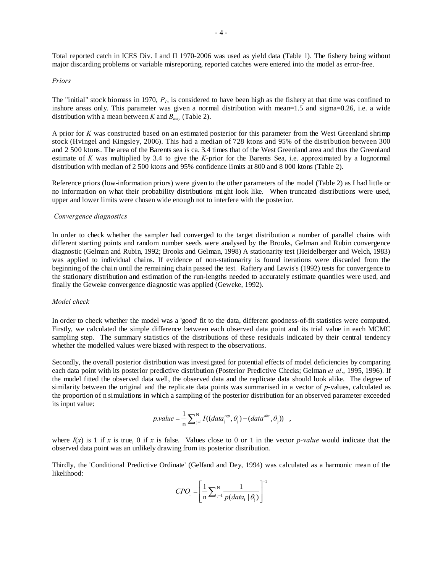Total reported catch in ICES Div. I and II 1970-2006 was used as yield data (Table 1). The fishery being without major discarding problems or variable misreporting, reported catches were entered into the model as error-free.

## *Priors*

The "initial" stock biomass in 1970, *P1*, is considered to have been high as the fishery at that time was confined to inshore areas only. This parameter was given a normal distribution with mean=1.5 and sigma=0.26, i.e. a wide distribution with a mean between *K* and  $B_{\text{mv}}$  (Table 2).

A prior for *K* was constructed based on an estimated posterior for this parameter from the West Greenland shrimp stock (Hvingel and Kingsley, 2006). This had a median of 728 ktons and 95% of the distribution between 300 and 2 500 ktons. The area of the Barents sea is ca. 3.4 times that of the West Greenland area and thus the Greenland estimate of *K* was multiplied by 3.4 to give the *K*-prior for the Barents Sea, i.e. approximated by a lognormal distribution with median of 2 500 ktons and 95% confidence limits at 800 and 8 000 ktons (Table 2).

Reference priors (low-information priors) were given to the other parameters of the model (Table 2) as I had little or no information on what their probability distributions might look like. When truncated distributions were used, upper and lower limits were chosen wide enough not to interfere with the posterior.

## *Convergence diagnostics*

In order to check whether the sampler had converged to the target distribution a number of parallel chains with different starting points and random number seeds were analysed by the Brooks, Gelman and Rubin convergence diagnostic (Gelman and Rubin, 1992; Brooks and Gelman, 1998) A stationarity test (Heidelberger and Welch, 1983) was applied to individual chains. If evidence of non-stationarity is found iterations were discarded from the beginning of the chain until the remaining chain passed the test. Raftery and Lewis's (1992) tests for convergence to the stationary distribution and estimation of the run-lengths needed to accurately estimate quantiles were used, and finally the Geweke convergence diagnostic was applied (Geweke, 1992).

## *Model check*

In order to check whether the model was a 'good' fit to the data, different goodness-of-fit statistics were computed. Firstly, we calculated the simple difference between each observed data point and its trial value in each MCMC sampling step. The summary statistics of the distributions of these residuals indicated by their central tendency whether the modelled values were biased with respect to the observations.

Secondly, the overall posterior distribution was investigated for potential effects of model deficiencies by comparing each data point with its posterior predictive distribution (Posterior Predictive Checks; Gelman *et al*., 1995, 1996). If the model fitted the observed data well, the observed data and the replicate data should look alike. The degree of similarity between the original and the replicate data points was summarised in a vector of *p*-values, calculated as the proportion of n simulations in which a sampling of the posterior distribution for an observed parameter exceeded its input value:

$$
p.value = \frac{1}{n} \sum_{j=1}^{N} I((data_j^{rep}, \theta_j) - (data^{obs}, \theta_j)) ,
$$

where  $I(x)$  is 1 if *x* is true, 0 if *x* is false. Values close to 0 or 1 in the vector *p*-value would indicate that the observed data point was an unlikely drawing from its posterior distribution.

Thirdly, the 'Conditional Predictive Ordinate' (Gelfand and Dey, 1994) was calculated as a harmonic mean of the likelihood:

$$
CPO_{i} = \left[\frac{1}{n}\sum_{j=1}^{N} \frac{1}{p(data_{i} | \theta_{j})}\right]^{-1}
$$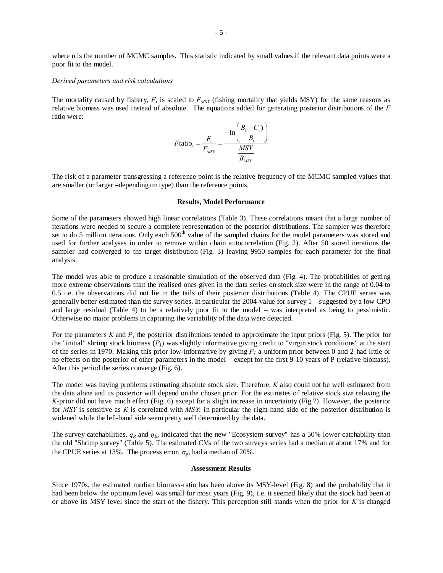where n is the number of MCMC samples. This statistic indicated by small values if the relevant data points were a poor fit to the model.

## *Derived parameters and risk calculations*

The mortality caused by fishery,  $F$ , is scaled to  $F_{MSY}$  (fishing mortality that yields MSY) for the same reasons as relative biomass was used instead of absolute. The equations added for generating posterior distributions of the *F* ratio were:

$$
F \text{ratio}_{t} = \frac{F_{t}}{F_{MSY}} = \frac{-\ln\left(\frac{B_{t} - C_{t}}{B_{t}}\right)}{\frac{MSY}{B_{MSY}}}
$$

The risk of a parameter transgressing a reference point is the relative frequency of the MCMC sampled values that are smaller (or larger –depending on type) than the reference points.

### **Results, Model Performance**

Some of the parameters showed high linear correlations (Table 3). These correlations meant that a large number of iterations were needed to secure a complete representation of the posterior distributions. The sampler was therefore set to do 5 million iterations. Only each 500<sup>th</sup> value of the sampled chains for the model parameters was stored and used for further analyses in order to remove within chain autocorrelation (Fig. 2). After 50 stored iterations the sampler had converged to the target distribution (Fig. 3) leaving 9950 samples for each parameter for the final analysis.

The model was able to produce a reasonable simulation of the observed data (Fig. 4). The probabilities of getting more extreme observations than the realised ones given in the data series on stock size were in the range of 0.04 to 0.5 i.e. the observations did not lie in the tails of their posterior distributions (Table 4). The CPUE series was generally better estimated than the survey series. In particular the 2004-value for survey 1 – suggested by a low CPO and large residual (Table 4) to be a relatively poor fit to the model – was interpreted as being to pessimistic. Otherwise no major problems in capturing the variability of the data were detected.

For the parameters  $K$  and  $P<sub>I</sub>$  the posterior distributions tended to approximate the input priors (Fig. 5). The prior for the "initial" shrimp stock biomass  $(P_1)$  was slightly informative giving credit to "virgin stock conditions" at the start of the series in 1970. Making this prior low-informative by giving  $P_1$  a uniform prior between 0 and 2 had little or no effects on the posterior of other parameters in the model – except for the first 9-10 years of P (relative biomass). After this period the series converge (Fig. 6).

The model was having problems estimating absolute stock size. Therefore, *K* also could not be well estimated from the data alone and its posterior will depend on the chosen prior. For the estimates of relative stock size relaxing the *K*-prior did not have much effect (Fig. 6) except for a slight increase in uncertainty (Fig.7). However, the posterior for *MSY* is sensitive as *K* is correlated with *MSY*: in particular the right-hand side of the posterior distribution is widened while the left-hand side seem pretty well determined by the data.

The survey catchabilities,  $q_R$  and  $q_E$ , indicated that the new "Ecosystem survey" has a 50% lower catchability than the old "Shrimp survey" (Table 5). The estimated CVs of the two surveys series had a median at about 17% and for the CPUE series at 13%. The process error,  $\sigma_{p}$ , had a median of 20%.

## **Assessment Results**

Since 1970s, the estimated median biomass-ratio has been above its MSY-level (Fig. 8) and the probability that it had been below the optimum level was small for most years (Fig. 9), i.e. it seemed likely that the stock had been at or above its MSY level since the start of the fishery. This perception still stands when the prior for *K* is changed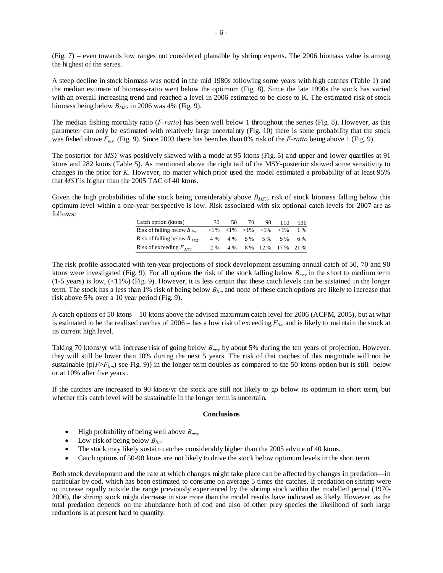(Fig. 7) – even towards low ranges not considered plausible by shrimp experts. The 2006 biomass value is among the highest of the series.

A steep decline in stock biomass was noted in the mid 1980s following some years with high catches (Table 1) and the median estimate of biomass-ratio went below the optimum (Fig. 8). Since the late 1990s the stock has varied with an overall increasing trend and reached a level in 2006 estimated to be close to K. The estimated risk of stock biomass being below *BMSY* in 2006 was 4% (Fig. 9).

The median fishing mortality ratio (*F-ratio*) has been well below 1 throughout the series (Fig. 8). However, as this parameter can only be estimated with relatively large uncertainty (Fig. 10) there is some probability that the stock was fished above  $F_{msv}$  (Fig. 9). Since 2003 there has been les than 8% risk of the *F-ratio* being above 1 (Fig. 9).

The posterior for *MSY* was positively skewed with a mode at 95 ktons (Fig. 5) and upper and lower quartiles at 91 ktons and 282 ktons (Table 5). As mentioned above the right tail of the MSY-posterior showed some sensitivity to changes in the prior for *K*. However, no matter which prior used the model estimated a probability of at least 95% that *MSY* is higher than the 2005 TAC of 40 ktons.

Given the high probabilities of the stock being considerably above  $B_{MSY}$ , risk of stock biomass falling below this optimum level within a one-year perspective is low. Risk associated with six optional catch levels for 2007 are as follows:

| Catch option (ktons)            | 30  | 50  | 70. | 90                                                                                      | 110                | 130   |
|---------------------------------|-----|-----|-----|-----------------------------------------------------------------------------------------|--------------------|-------|
| Risk of falling below $B_{lim}$ |     |     |     | $\langle 1\% \rangle$ $\langle 1\% \rangle$ $\langle 1\% \rangle$ $\langle 1\% \rangle$ | ${<}1\%$           | $1\%$ |
| Risk of falling below $B_{MST}$ | 4 % | 4 % |     | 5 % 5 %                                                                                 | 5 %                | 6 %   |
| Risk of exceeding $F_{MST}$     | 2 % | 4 % |     |                                                                                         | 8 % 12 % 17 % 21 % |       |

The risk profile associated with ten-year projections of stock development assuming annual catch of 50, 70 and 90 ktons were investigated (Fig. 9). For all options the risk of the stock falling below *Bmsy* in the short to medium term  $(1-5 \text{ years})$  is low,  $(\langle 11\%)(\text{Fig. 9})$ . However, it is less certain that these catch levels can be sustained in the longer term. The stock has a less than 1% risk of being below *Blim* and none of these catch options are likely to increase that risk above 5% over a 10 year period (Fig. 9).

A catch options of 50 ktons – 10 ktons above the advised maximum catch level for 2006 (ACFM, 2005), but at what is estimated to be the realised catches of 2006 – has a low risk of exceeding *Flim* and is likely to maintain the stock at its current high level.

Taking 70 ktons/yr will increase risk of going below *Bmsy* by about 5% during the ten years of projection. However, they will still be lower than 10% during the next 5 years. The risk of that catches of this magnitude will not be sustainable ( $p(F>F_{lim})$ ) see Fig. 9)) in the longer term doubles as compared to the 50 ktons-option but is still below or at 10% after five years .

If the catches are increased to 90 ktons/yr the stock are still not likely to go below its optimum in short term, but whether this catch level will be sustainable in the longer term is uncertain.

## **Conclusions**

- High probability of being well above *Bmsy*
- Low risk of being below *Blim*
- The stock may likely sustain catches considerably higher than the 2005 advice of 40 ktons.
- Catch options of 50-90 ktons are not likely to drive the stock below optimum levels in the short term.

Both stock development and the rate at which changes might take place can be affected by changes in predation—in particular by cod, which has been estimated to consume on average 5 times the catches. If predation on shrimp were to increase rapidly outside the range previously experienced by the shrimp stock within the modelled period (1970- 2006), the shrimp stock might decrease in size more than the model results have indicated as likely. However, as the total predation depends on the abundance both of cod and also of other prey species the likelihood of such large reductions is at present hard to quantify.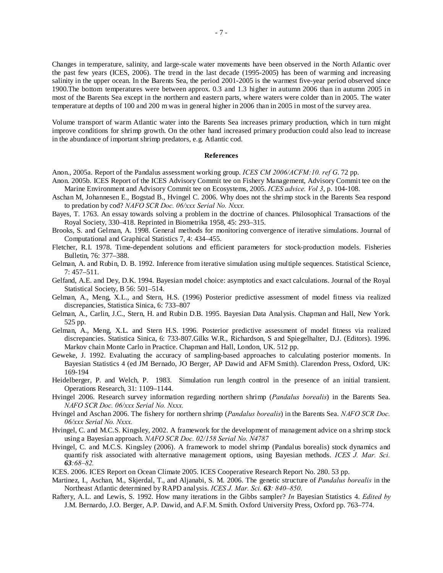Changes in temperature, salinity, and large-scale water movements have been observed in the North Atlantic over the past few years (ICES, 2006). The trend in the last decade (1995-2005) has been of warming and increasing salinity in the upper ocean. In the Barents Sea, the period 2001-2005 is the warmest five-year period observed since 1900.The bottom temperatures were between approx. 0.3 and 1.3 higher in autumn 2006 than in autumn 2005 in most of the Barents Sea except in the northern and eastern parts, where waters were colder than in 2005. The water temperature at depths of 100 and 200 m was in general higher in 2006 than in 2005 in most of the survey area.

Volume transport of warm Atlantic water into the Barents Sea increases primary production, which in turn might improve conditions for shrimp growth. On the other hand increased primary production could also lead to increase in the abundance of important shrimp predators, e.g. Atlantic cod.

### **References**

Anon., 2005a. Report of the Pandalus assessment working group. *ICES CM 2006/ACFM:10. ref G*. 72 pp.

- Anon. 2005b. ICES Report of the ICES Advisory Commit tee on Fishery Management, Advisory Commit tee on the Marine Environment and Advisory Commit tee on Ecosystems, 2005. *ICES advice. Vol 3*, p. 104-108.
- Aschan M, Johannesen E., Bogstad B., Hvingel C. 2006. Why does not the shrimp stock in the Barents Sea respond to predation by cod? *NAFO SCR Doc. 06/xxx Serial No. Nxxx.*
- Bayes, T. 1763. An essay towards solving a problem in the doctrine of chances. Philosophical Transactions of the Royal Society, 330–418. Reprinted in Biometrika 1958, 45: 293–315.
- Brooks, S. and Gelman, A. 1998. General methods for monitoring convergence of iterative simulations. Journal of Computational and Graphical Statistics 7, 4: 434–455.
- Fletcher, R.I. 1978. Time-dependent solutions and efficient parameters for stock-production models. Fisheries Bulletin, 76: 377–388.
- Gelman, A. and Rubin, D. B. 1992. Inference from iterative simulation using multiple sequences. Statistical Science, 7: 457–511.
- Gelfand, A.E. and Dey, D.K. 1994. Bayesian model choice: asymptotics and exact calculations. Journal of the Royal Statistical Society, B 56: 501–514.
- Gelman, A., Meng, X.L., and Stern, H.S. (1996) Posterior predictive assessment of model fitness via realized discrepancies, Statistica Sinica, 6: 733–807
- Gelman, A., Carlin, J.C., Stern, H. and Rubin D.B. 1995. Bayesian Data Analysis. Chapman and Hall, New York. 525 pp.
- Gelman, A., Meng, X.L. and Stern H.S. 1996. Posterior predictive assessment of model fitness via realized discrepancies. Statistica Sinica, 6: 733-807.Gilks W.R., Richardson, S and Spiegelhalter, D.J. (Editors). 1996. Markov chain Monte Carlo in Practice. Chapman and Hall, London, UK. 512 pp.
- Geweke, J. 1992. Evaluating the accuracy of sampling-based approaches to calculating posterior moments. In Bayesian Statistics 4 (ed JM Bernado, JO Berger, AP Dawid and AFM Smith). Clarendon Press, Oxford, UK: 169-194
- Heidelberger, P. and Welch, P. 1983. Simulation run length control in the presence of an initial transient. Operations Research, 31: 1109–1144.
- Hvingel 2006. Research survey information regarding northern shrimp (*Pandalus borealis*) in the Barents Sea. *NAFO SCR Doc. 06/xxx Serial No. Nxxx.*
- Hvingel and Aschan 2006. The fishery for northern shrimp (*Pandalus borealis*) in the Barents Sea. *NAFO SCR Doc. 06/xxx Serial No. Nxxx.*
- Hvingel, C. and M.C.S. Kingsley, 2002. A framework for the development of management advice on a shrimp stock using a Bayesian approach. *NAFO SCR Doc. 02/158 Serial No. N4787*
- Hvingel, C. and M.C.S. Kingsley (2006). A framework to model shrimp (Pandalus borealis) stock dynamics and quantify risk associated with alternative management options, using Bayesian methods. *ICES J. Mar. Sci. 63:68–82.*
- ICES. 2006. ICES Report on Ocean Climate 2005. ICES Cooperative Research Report No. 280. 53 pp.
- Martinez, I., Aschan, M., Skjerdal, T., and Aljanabi, S. M. 2006. The genetic structure of *Pandalus borealis* in the Northeast Atlantic determined by RAPD analysis. *ICES J. Mar. Sci. 63: 840–850*.
- Raftery, A.L. and Lewis, S. 1992. How many iterations in the Gibbs sampler? *In* Bayesian Statistics 4. *Edited by* J.M. Bernardo, J.O. Berger, A.P. Dawid, and A.F.M. Smith. Oxford University Press, Oxford pp. 763–774.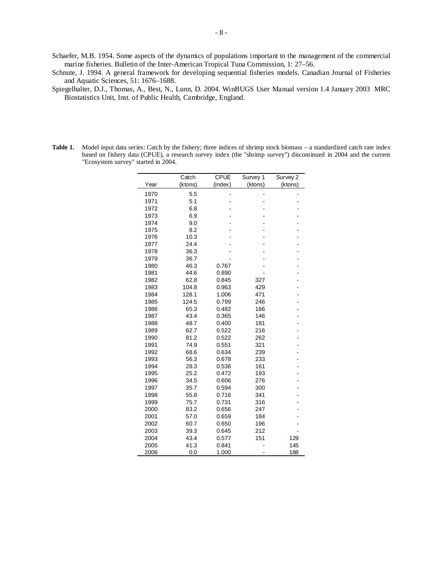- Schaefer, M.B. 1954. Some aspects of the dynamics of populations important to the management of the commercial marine fisheries. Bulletin of the Inter-American Tropical Tuna Commission, 1: 27–56.
- Schnute, J. 1994. A general framework for developing sequential fisheries models. Canadian Journal of Fisheries and Aquatic Sciences, 51: 1676–1688.
- Spiegelhalter, D.J., Thomas, A., Best, N., Lunn, D. 2004. WinBUGS User Manual version 1.4 January 2003 MRC Biostatistics Unit, Inst. of Public Health, Cambridge, England.
- **Table 1.** Model input data series: Catch by the fishery; three indices of shrimp stock biomass a standardized catch rate index based on fishery data (CPUE), a research survey index (the "shrimp survey") discontinued in 2004 and the current "Ecosystem survey" started in 2004.

|      | Catch   | <b>CPUE</b>              | Survey 1 | Survey 2 |
|------|---------|--------------------------|----------|----------|
| Year | (ktons) | (index)                  | (ktons)  | (ktons)  |
| 1970 | 5.5     | $\overline{\phantom{0}}$ |          |          |
| 1971 | 5.1     |                          |          |          |
| 1972 | 6.8     |                          |          |          |
| 1973 | 6.9     |                          |          |          |
| 1974 | 9.0     |                          |          |          |
| 1975 | 8.2     |                          |          |          |
| 1976 | 10.3    |                          |          |          |
| 1977 | 24.4    |                          |          |          |
| 1978 | 36.3    |                          |          |          |
| 1979 | 36.7    |                          |          |          |
| 1980 | 46.3    | 0.767                    |          |          |
| 1981 | 44.6    | 0.890                    |          |          |
| 1982 | 62.8    | 0.845                    | 327      |          |
| 1983 | 104.8   | 0.963                    | 429      |          |
| 1984 | 128.1   | 1.006                    | 471      |          |
| 1985 | 124.5   | 0.799                    | 246      |          |
| 1986 | 65.3    | 0.482                    | 166      |          |
| 1987 | 43.4    | 0.365                    | 146      |          |
| 1988 | 48.7    | 0.400                    | 181      |          |
| 1989 | 62.7    | 0.522                    | 216      |          |
| 1990 | 81.2    | 0.522                    | 262      |          |
| 1991 | 74.9    | 0.551                    | 321      |          |
| 1992 | 68.6    | 0.634                    | 239      |          |
| 1993 | 56.3    | 0.678                    | 233      |          |
| 1994 | 28.3    | 0.536                    | 161      |          |
| 1995 | 25.2    | 0.472                    | 193      |          |
| 1996 | 34.5    | 0.606                    | 276      |          |
| 1997 | 35.7    | 0.594                    | 300      |          |
| 1998 | 55.8    | 0.716                    | 341      |          |
| 1999 | 75.7    | 0.731                    | 316      |          |
| 2000 | 83.2    | 0.656                    | 247      |          |
| 2001 | 57.0    | 0.659                    | 184      |          |
| 2002 | 60.7    | 0.650                    | 196      |          |
| 2003 | 39.3    | 0.645                    | 212      |          |
| 2004 | 43.4    | 0.577                    | 151      | 129      |
| 2005 | 41.3    | 0.841                    |          | 145      |
| 2006 | 0.0     | 1.000                    |          | 188      |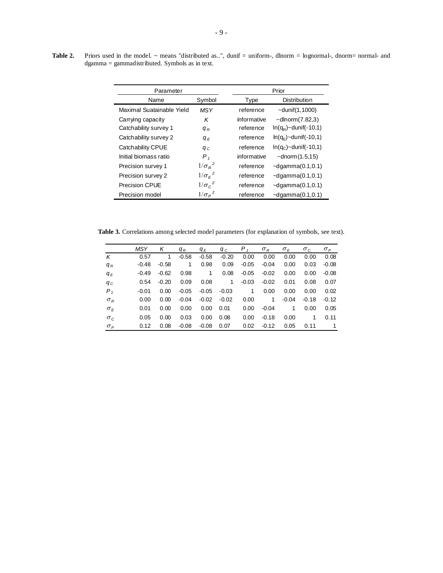Table 2. Priors used in the model. ~ means "distributed as..", dunif = uniform-, dlnorm = lognormal-, dnorm= normal- and dgamma = gammadistributed. Symbols as in text.

| Parameter                 |                | Prior                                   |
|---------------------------|----------------|-----------------------------------------|
| Name                      | Symbol         | <b>Distribution</b><br>Type             |
| Maximal Suatainable Yield | <b>MSY</b>     | $-$ dunif $(1, 1000)$<br>reference      |
| Carrying capacity         | Κ              | informative<br>$\sim$ dlnorm $(7.82,3)$ |
| Catchability survey 1     | $q_R$          | $ln(q_R)$ ~dunif(-10,1)<br>reference    |
| Catchability survey 2     | $q_E$          | $ln(q_e)$ ~dunif(-10,1)<br>reference    |
| Catchability CPUE         | $q_c$          | $ln(q_C)$ ~dunif(-10,1)<br>reference    |
| Initial biomass ratio     | $P_{1}$        | informative<br>$\sim$ dnorm $(1.5, 15)$ |
| Precision survey 1        | $1/\sigma_R^2$ | reference<br>$-dqamma(0.1,0.1)$         |
| Precision survey 2        | $1/\sigma_F^2$ | $-dqamma(0.1,0.1)$<br>reference         |
| <b>Precision CPUE</b>     | $1/\sigma_c^2$ | reference<br>$-dqamma(0.1,0.1)$         |
| Precision model           | $1/\sigma_P^2$ | $-dqamma(0.1,0.1)$<br>reference         |

**Table 3.** Correlations among selected model parameters (for explanation of symbols, see text).

|            | <b>MSY</b> | K       | $q_R$   | $q_E$        | $q_c$   | $P_{1}$ | $\sigma_R$  | $\sigma_F$ | $\sigma_c$ | $\sigma_P$ |
|------------|------------|---------|---------|--------------|---------|---------|-------------|------------|------------|------------|
| K          | 0.57       | 1       | $-0.58$ | $-0.58$      | $-0.20$ | 0.00    | 0.00        | 0.00       | 0.00       | 0.08       |
| $q_R$      | $-0.48$    | $-0.58$ | 1       | 0.98         | 0.09    | $-0.05$ | $-0.04$     | 0.00       | 0.03       | $-0.08$    |
| $q_E$      | $-0.49$    | $-0.62$ | 0.98    | $\mathbf{1}$ | 0.08    | $-0.05$ | $-0.02$     | 0.00       | 0.00       | $-0.08$    |
| $q_c$      | 0.54       | $-0.20$ | 0.09    | 0.08         | 1       | $-0.03$ | $-0.02$     | 0.01       | 0.08       | 0.07       |
| $P_1$      | $-0.01$    | 0.00    | $-0.05$ | $-0.05$      | $-0.03$ | 1       | 0.00        | 0.00       | 0.00       | 0.02       |
| $\sigma_R$ | 0.00       | 0.00    | $-0.04$ | $-0.02$      | $-0.02$ | 0.00    | $\mathbf 1$ | $-0.04$    | $-0.18$    | $-0.12$    |
| $\sigma_F$ | 0.01       | 0.00    | 0.00    | 0.00         | 0.01    | 0.00    | $-0.04$     | 1          | 0.00       | 0.05       |
| $\sigma_c$ | 0.05       | 0.00    | 0.03    | 0.00         | 0.08    | 0.00    | $-0.18$     | 0.00       | 1          | 0.11       |
| $\sigma_P$ | 0.12       | 0.08    | $-0.08$ | $-0.08$      | 0.07    | 0.02    | $-0.12$     | 0.05       | 0.11       | 1          |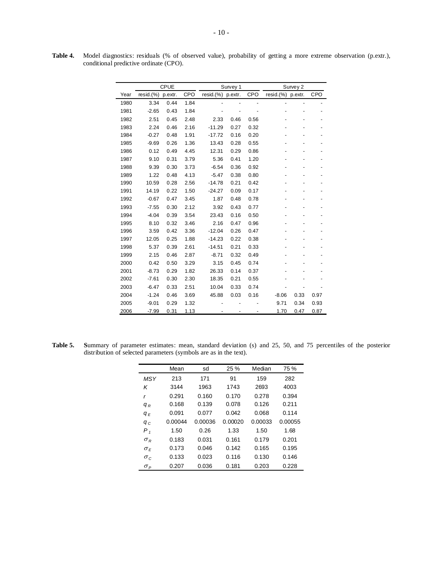|      |              | <b>CPUE</b> |      | Survey 1          |      |                          | Survey 2          |                          |      |
|------|--------------|-------------|------|-------------------|------|--------------------------|-------------------|--------------------------|------|
| Year | $resid.$ $%$ | p.extr.     | CPO  | resid.(%) p.extr. |      | CPO                      | resid.(%) p.extr. |                          | CPO  |
| 1980 | 3.34         | 0.44        | 1.84 |                   |      | $\overline{\phantom{a}}$ |                   | $\overline{\phantom{0}}$ |      |
| 1981 | $-2.65$      | 0.43        | 1.84 |                   |      |                          |                   |                          |      |
| 1982 | 2.51         | 0.45        | 2.48 | 2.33              | 0.46 | 0.56                     |                   |                          |      |
| 1983 | 2.24         | 0.46        | 2.16 | $-11.29$          | 0.27 | 0.32                     |                   |                          |      |
| 1984 | $-0.27$      | 0.48        | 1.91 | $-17.72$          | 0.16 | 0.20                     |                   |                          |      |
| 1985 | $-9.69$      | 0.26        | 1.36 | 13.43             | 0.28 | 0.55                     |                   |                          |      |
| 1986 | 0.12         | 0.49        | 4.45 | 12.31             | 0.29 | 0.86                     |                   |                          |      |
| 1987 | 9.10         | 0.31        | 3.79 | 5.36              | 0.41 | 1.20                     |                   |                          |      |
| 1988 | 9.39         | 0.30        | 3.73 | $-6.54$           | 0.36 | 0.92                     |                   |                          |      |
| 1989 | 1.22         | 0.48        | 4.13 | $-5.47$           | 0.38 | 0.80                     |                   |                          |      |
| 1990 | 10.59        | 0.28        | 2.56 | $-14.78$          | 0.21 | 0.42                     |                   |                          |      |
| 1991 | 14.19        | 0.22        | 1.50 | $-24.27$          | 0.09 | 0.17                     |                   |                          |      |
| 1992 | $-0.67$      | 0.47        | 3.45 | 1.87              | 0.48 | 0.78                     |                   |                          |      |
| 1993 | $-7.55$      | 0.30        | 2.12 | 3.92              | 0.43 | 0.77                     |                   |                          |      |
| 1994 | $-4.04$      | 0.39        | 3.54 | 23.43             | 0.16 | 0.50                     |                   |                          |      |
| 1995 | 8.10         | 0.32        | 3.46 | 2.16              | 0.47 | 0.96                     |                   |                          |      |
| 1996 | 3.59         | 0.42        | 3.36 | $-12.04$          | 0.26 | 0.47                     |                   |                          |      |
| 1997 | 12.05        | 0.25        | 1.88 | $-14.23$          | 0.22 | 0.38                     |                   |                          |      |
| 1998 | 5.37         | 0.39        | 2.61 | $-14.51$          | 0.21 | 0.33                     |                   |                          |      |
| 1999 | 2.15         | 0.46        | 2.87 | $-8.71$           | 0.32 | 0.49                     |                   |                          |      |
| 2000 | 0.42         | 0.50        | 3.29 | 3.15              | 0.45 | 0.74                     |                   |                          |      |
| 2001 | $-8.73$      | 0.29        | 1.82 | 26.33             | 0.14 | 0.37                     |                   |                          |      |
| 2002 | $-7.61$      | 0.30        | 2.30 | 18.35             | 0.21 | 0.55                     |                   |                          |      |
| 2003 | $-6.47$      | 0.33        | 2.51 | 10.04             | 0.33 | 0.74                     |                   |                          |      |
| 2004 | $-1.24$      | 0.46        | 3.69 | 45.88             | 0.03 | 0.16                     | $-8.06$           | 0.33                     | 0.97 |
| 2005 | $-9.01$      | 0.29        | 1.32 |                   |      |                          | 9.71              | 0.34                     | 0.93 |
| 2006 | $-7.99$      | 0.31        | 1.13 |                   |      |                          | 1.70              | 0.47                     | 0.87 |

**Table 4.** Model diagnostics: residuals (% of observed value), probability of getting a more extreme observation (p.extr.), conditional predictive ordinate (CPO).

**Table 5. S**ummary of parameter estimates: mean, standard deviation (s) and 25, 50, and 75 percentiles of the posterior distribution of selected parameters (symbols are as in the text).

|            | Mean    | sd      | 25 %    | Median  | 75 %    |
|------------|---------|---------|---------|---------|---------|
| <b>MSY</b> | 213     | 171     | 91      | 159     | 282     |
| Κ          | 3144    | 1963    | 1743    | 2693    | 4003    |
| r          | 0.291   | 0.160   | 0.170   | 0.278   | 0.394   |
| $q_R$      | 0.168   | 0.139   | 0.078   | 0.126   | 0.211   |
| $q_E$      | 0.091   | 0.077   | 0.042   | 0.068   | 0.114   |
| $q_c$      | 0.00044 | 0.00036 | 0.00020 | 0.00033 | 0.00055 |
| $P_{1}$    | 1.50    | 0.26    | 1.33    | 1.50    | 1.68    |
| $\sigma_R$ | 0.183   | 0.031   | 0.161   | 0.179   | 0.201   |
| $\sigma_F$ | 0.173   | 0.046   | 0.142   | 0.165   | 0.195   |
| $\sigma_c$ | 0.133   | 0.023   | 0.116   | 0.130   | 0.146   |
| $\sigma_P$ | 0.207   | 0.036   | 0.181   | 0.203   | 0.228   |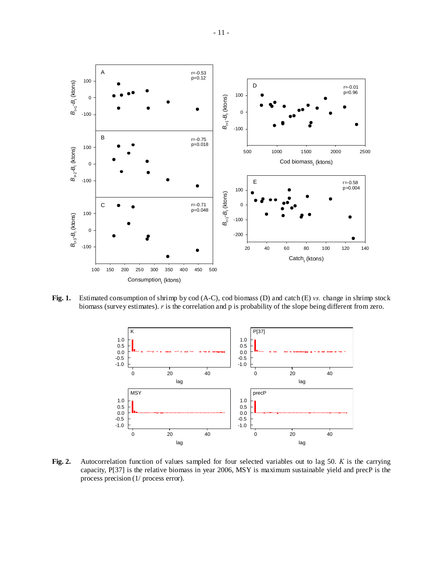

**Fig. 1.** Estimated consumption of shrimp by cod (A-C), cod biomass (D) and catch (E) *vs.* change in shrimp stock biomass (survey estimates). *r* is the correlation and p is probability of the slope being different from zero.



**Fig. 2.** Autocorrelation function of values sampled for four selected variables out to lag 50. *K* is the carrying capacity, P[37] is the relative biomass in year 2006, MSY is maximum sustainable yield and precP is the process precision (1/ process error).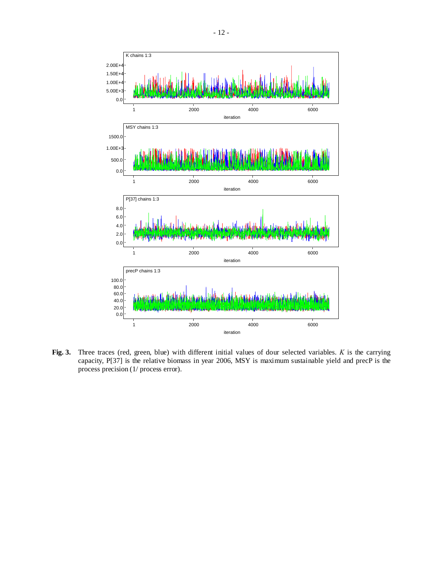

**Fig. 3.** Three traces (red, green, blue) with different initial values of dour selected variables. *K* is the carrying capacity, P[37] is the relative biomass in year 2006, MSY is maximum sustainable yield and precP is the process precision (1/ process error).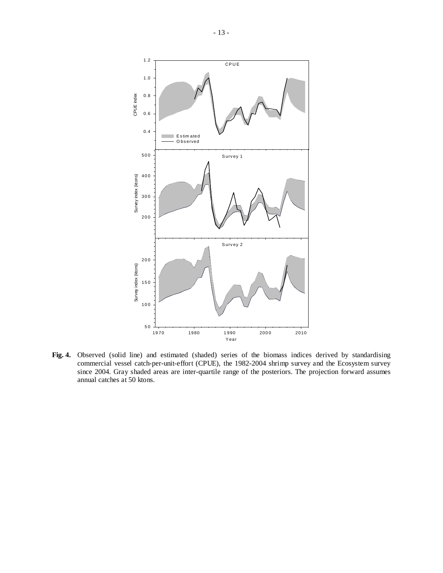

**Fig. 4.** Observed (solid line) and estimated (shaded) series of the biomass indices derived by standardising commercial vessel catch-per-unit-effort (CPUE), the 1982-2004 shrimp survey and the Ecosystem survey since 2004. Gray shaded areas are inter-quartile range of the posteriors. The projection forward assumes annual catches at 50 ktons.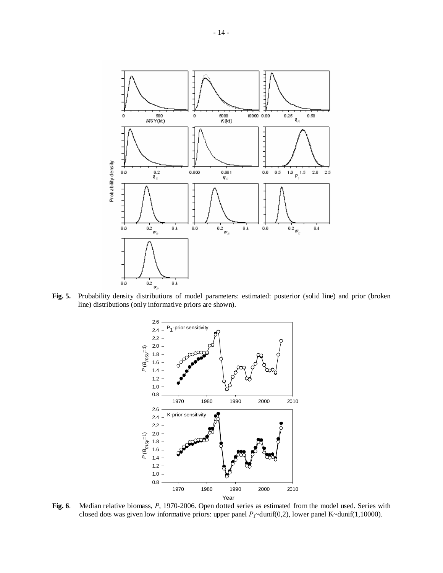

**Fig. 5.** Probability density distributions of model parameters: estimated: posterior (solid line) and prior (broken line) distributions (only informative priors are shown).



**Fig. 6**. Median relative biomass, *P*, 1970-2006. Open dotted series as estimated from the model used. Series with closed dots was given low informative priors: upper panel *P*<sub>1</sub>~dunif(0,2), lower panel K~dunif(1,10000).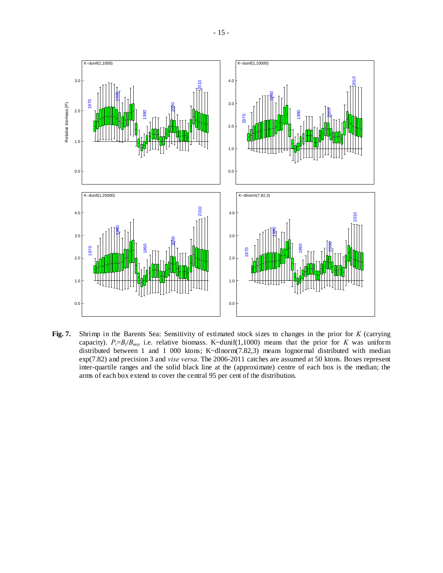

**Fig. 7.** Shrimp in the Barents Sea: Sensitivity of estimated stock sizes to changes in the prior for *K* (carrying capacity).  $P_t = B_t/B_{msy}$  i.e. relative biomass. K~dunif(1,1000) means that the prior for *K* was uniform distributed between 1 and 1 000 ktons; K~dlnorm(7.82,3) means lognormal distributed with median exp(7.82) and precision 3 and *vise versa*. The 2006-2011 catches are assumed at 50 ktons. Boxes represent inter-quartile ranges and the solid black line at the (approximate) centre of each box is the median; the arms of each box extend to cover the central 95 per cent of the distribution.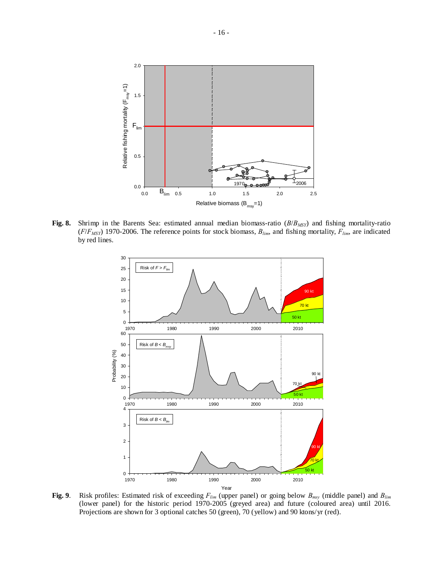

**Fig. 8.** Shrimp in the Barents Sea: estimated annual median biomass-ratio (*B*/*BMSY*) and fishing mortality-ratio  $(F/F_{MSY})$  1970-2006. The reference points for stock biomass,  $B_{lim}$ , and fishing mortality,  $F_{lim}$ , are indicated by red lines.



**Fig. 9**. Risk profiles: Estimated risk of exceeding *Flim* (upper panel) or going below *Bmsy* (middle panel) and *Blim* (lower panel) for the historic period 1970-2005 (greyed area) and future (coloured area) until 2016. Projections are shown for 3 optional catches 50 (green), 70 (yellow) and 90 ktons/yr (red).